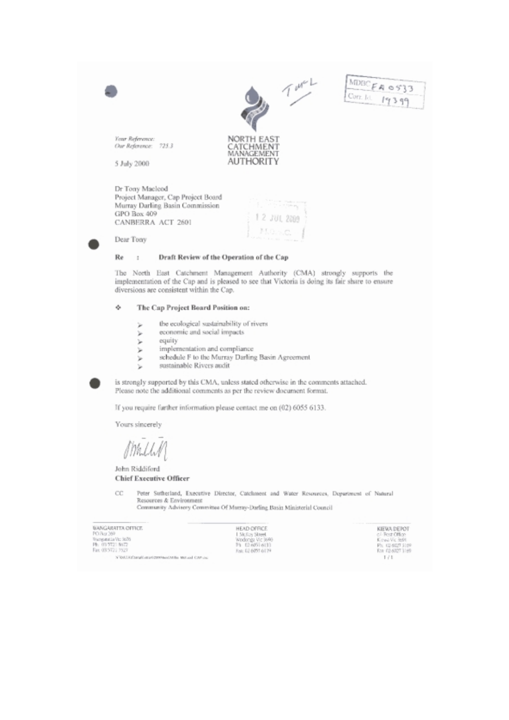

 $\rm Re$ Draft Review of the Operation of the Cap  $\overline{1}$ 

The North East Catchment Management Authority (CMA) strongly supports the implementation of the Cap and is pleased to see that Victoria is doing its fair share to ensure diversions are consistent within the Cap.

## ۰ The Cap Project Board Position on:

- the ecological sustainability of rivers þ.
- economic and social impacts ý.
- ý. equity
- implementation and compliance þ
- schedule F to the Murray Darling Basin Agreement þ.
- sustainable Rivers audit ١u

is strongly supported by this CMA, unless stated otherwise in the comments attached. Please note the additional comments as per the review document format.

If you require further information please contact me on (02) 6055 6133.

Yours sincerely

John Riddiford **Chief Executive Officer** 

CC Peter Sutherland, Executive Director, Catchment and Water Resources, Department of Natural Resources & Environment

Community Advisory Committee Of Murray-Darling Basin Ministerial Council

| BANGARATTA OFFICE                              | HEAD OFFICE       |
|------------------------------------------------|-------------------|
| PO Box 269                                     | 1 Sic Cay Street  |
| Tourseauch Vic 3676                            | Wodonga Vic 3690  |
| Ph. 01 5721 8672                               | Pi 02.6751.6133   |
| Fax: 03 5121 7527                              | Fair 02 0753 6179 |
| NVMLKI'neufi.env/ctrr/acc/Mile Mit.col CAP-262 |                   |

KIEWA DEPOT ci-Post Office<br>Kowa Vic 3691<br>Ph. 014027 3109<br>For 014027 3169  $\mathbb{F}/\mathbb{T}$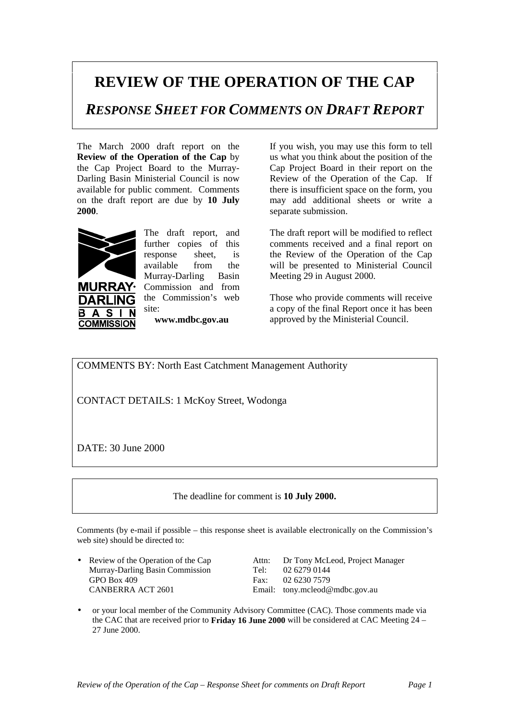## **REVIEW OF THE OPERATION OF THE CAP**

*RESPONSE SHEET FOR COMMENTS ON DRAFT REPORT*

The March 2000 draft report on the **Review of the Operation of the Cap** by the Cap Project Board to the Murray-Darling Basin Ministerial Council is now available for public comment. Comments on the draft report are due by **10 July 2000**.



DARI IN  $\blacktriangle$ **S COMMISSION** 

**URRAY·** 

The draft report, and further copies of this response sheet, is available from the Murray-Darling Basin Commission and from the Commission's web site:

**www.mdbc.gov.au**

If you wish, you may use this form to tell us what you think about the position of the Cap Project Board in their report on the Review of the Operation of the Cap. If there is insufficient space on the form, you may add additional sheets or write a separate submission.

The draft report will be modified to reflect comments received and a final report on the Review of the Operation of the Cap will be presented to Ministerial Council Meeting 29 in August 2000.

Those who provide comments will receive a copy of the final Report once it has been approved by the Ministerial Council.

COMMENTS BY: North East Catchment Management Authority

CONTACT DETAILS: 1 McKoy Street, Wodonga

DATE: 30 June 2000

The deadline for comment is **10 July 2000.**

Comments (by e-mail if possible – this response sheet is available electronically on the Commission's web site) should be directed to:

Murray-Darling Basin Commission Tel: 02 6279 0144 GPO Box 409 Fax: 02 6230 7579 CANBERRA ACT 2601 Email: tony.mcleod@mdbc.gov.au

• Review of the Operation of the Cap Attn: Dr Tony McLeod, Project Manager

• or your local member of the Community Advisory Committee (CAC). Those comments made via the CAC that are received prior to **Friday 16 June 2000** will be considered at CAC Meeting 24 – 27 June 2000.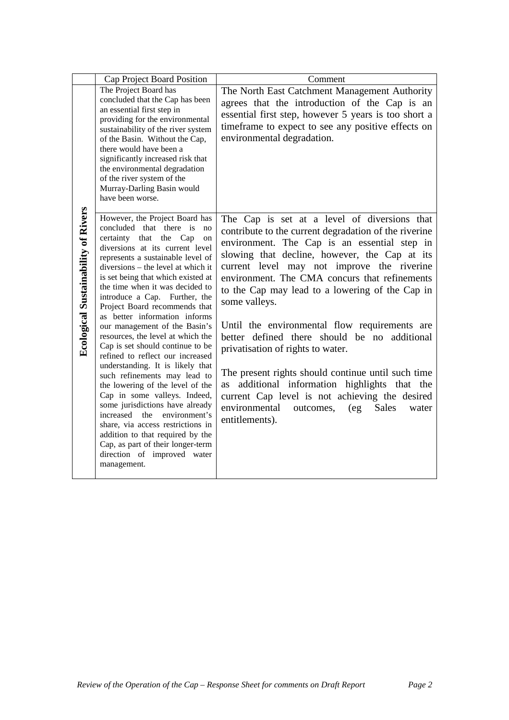|                                            | Cap Project Board Position                                                                                                                                                                                                                                                                                                                                                                                                                                                                                                                                                                                                                                                                                                                                                                                                                                                                                                | Comment                                                                                                                                                                                                                                                                                                                                                                                                                                                                                                                                                                                                                                                                                                                                               |
|--------------------------------------------|---------------------------------------------------------------------------------------------------------------------------------------------------------------------------------------------------------------------------------------------------------------------------------------------------------------------------------------------------------------------------------------------------------------------------------------------------------------------------------------------------------------------------------------------------------------------------------------------------------------------------------------------------------------------------------------------------------------------------------------------------------------------------------------------------------------------------------------------------------------------------------------------------------------------------|-------------------------------------------------------------------------------------------------------------------------------------------------------------------------------------------------------------------------------------------------------------------------------------------------------------------------------------------------------------------------------------------------------------------------------------------------------------------------------------------------------------------------------------------------------------------------------------------------------------------------------------------------------------------------------------------------------------------------------------------------------|
|                                            | The Project Board has<br>concluded that the Cap has been<br>an essential first step in<br>providing for the environmental<br>sustainability of the river system<br>of the Basin. Without the Cap,<br>there would have been a<br>significantly increased risk that<br>the environmental degradation<br>of the river system of the<br>Murray-Darling Basin would<br>have been worse.                                                                                                                                                                                                                                                                                                                                                                                                                                                                                                                                        | The North East Catchment Management Authority<br>agrees that the introduction of the Cap is an<br>essential first step, however 5 years is too short a<br>timeframe to expect to see any positive effects on<br>environmental degradation.                                                                                                                                                                                                                                                                                                                                                                                                                                                                                                            |
| <b>Ecological Sustainability of Rivers</b> | However, the Project Board has<br>concluded that there is<br>no<br>certainty<br>that<br>the<br>Cap<br>on<br>diversions at its current level<br>represents a sustainable level of<br>diversions – the level at which it<br>is set being that which existed at<br>the time when it was decided to<br>introduce a Cap. Further, the<br>Project Board recommends that<br>as better information informs<br>our management of the Basin's<br>resources, the level at which the<br>Cap is set should continue to be<br>refined to reflect our increased<br>understanding. It is likely that<br>such refinements may lead to<br>the lowering of the level of the<br>Cap in some valleys. Indeed,<br>some jurisdictions have already<br>increased the<br>environment's<br>share, via access restrictions in<br>addition to that required by the<br>Cap, as part of their longer-term<br>direction of improved water<br>management. | The Cap is set at a level of diversions that<br>contribute to the current degradation of the riverine<br>environment. The Cap is an essential step in<br>slowing that decline, however, the Cap at its<br>current level may not improve the riverine<br>environment. The CMA concurs that refinements<br>to the Cap may lead to a lowering of the Cap in<br>some valleys.<br>Until the environmental flow requirements are<br>better defined there should be no additional<br>privatisation of rights to water.<br>The present rights should continue until such time<br>additional information highlights that the<br>as<br>current Cap level is not achieving the desired<br>environmental<br>Sales<br>outcomes,<br>(eg)<br>water<br>entitlements). |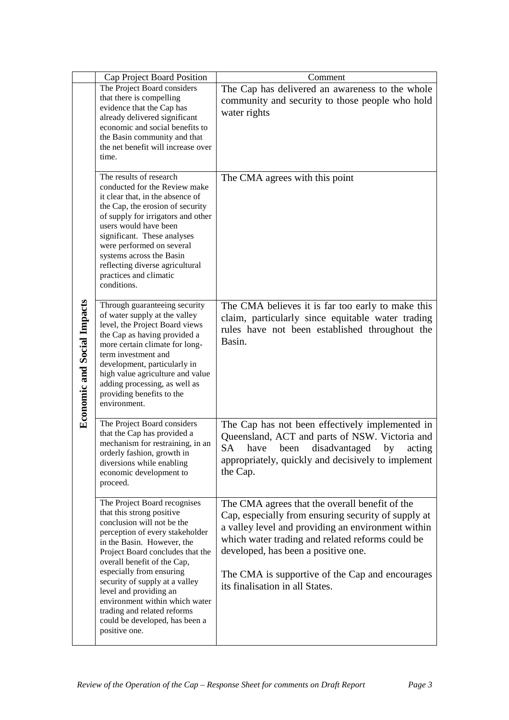|                                    | Cap Project Board Position                                                                                                                                                                                                                                                                                                                                                                                                              | Comment                                                                                                                                                                                                                                                                                                                                      |
|------------------------------------|-----------------------------------------------------------------------------------------------------------------------------------------------------------------------------------------------------------------------------------------------------------------------------------------------------------------------------------------------------------------------------------------------------------------------------------------|----------------------------------------------------------------------------------------------------------------------------------------------------------------------------------------------------------------------------------------------------------------------------------------------------------------------------------------------|
|                                    | The Project Board considers<br>that there is compelling<br>evidence that the Cap has<br>already delivered significant<br>economic and social benefits to<br>the Basin community and that<br>the net benefit will increase over<br>time.                                                                                                                                                                                                 | The Cap has delivered an awareness to the whole<br>community and security to those people who hold<br>water rights                                                                                                                                                                                                                           |
|                                    | The results of research<br>conducted for the Review make<br>it clear that, in the absence of<br>the Cap, the erosion of security<br>of supply for irrigators and other<br>users would have been<br>significant. These analyses<br>were performed on several<br>systems across the Basin<br>reflecting diverse agricultural<br>practices and climatic<br>conditions.                                                                     | The CMA agrees with this point                                                                                                                                                                                                                                                                                                               |
| <b>Economic and Social Impacts</b> | Through guaranteeing security<br>of water supply at the valley<br>level, the Project Board views<br>the Cap as having provided a<br>more certain climate for long-<br>term investment and<br>development, particularly in<br>high value agriculture and value<br>adding processing, as well as<br>providing benefits to the<br>environment.                                                                                             | The CMA believes it is far too early to make this<br>claim, particularly since equitable water trading<br>rules have not been established throughout the<br>Basin.                                                                                                                                                                           |
|                                    | The Project Board considers<br>that the Cap has provided a<br>mechanism for restraining, in an<br>orderly fashion, growth in<br>diversions while enabling<br>economic development to<br>proceed.                                                                                                                                                                                                                                        | The Cap has not been effectively implemented in<br>Queensland, ACT and parts of NSW. Victoria and<br><b>SA</b><br>have<br>been<br>disadvantaged<br>by<br>acting<br>appropriately, quickly and decisively to implement<br>the Cap.                                                                                                            |
|                                    | The Project Board recognises<br>that this strong positive<br>conclusion will not be the<br>perception of every stakeholder<br>in the Basin. However, the<br>Project Board concludes that the<br>overall benefit of the Cap,<br>especially from ensuring<br>security of supply at a valley<br>level and providing an<br>environment within which water<br>trading and related reforms<br>could be developed, has been a<br>positive one. | The CMA agrees that the overall benefit of the<br>Cap, especially from ensuring security of supply at<br>a valley level and providing an environment within<br>which water trading and related reforms could be<br>developed, has been a positive one.<br>The CMA is supportive of the Cap and encourages<br>its finalisation in all States. |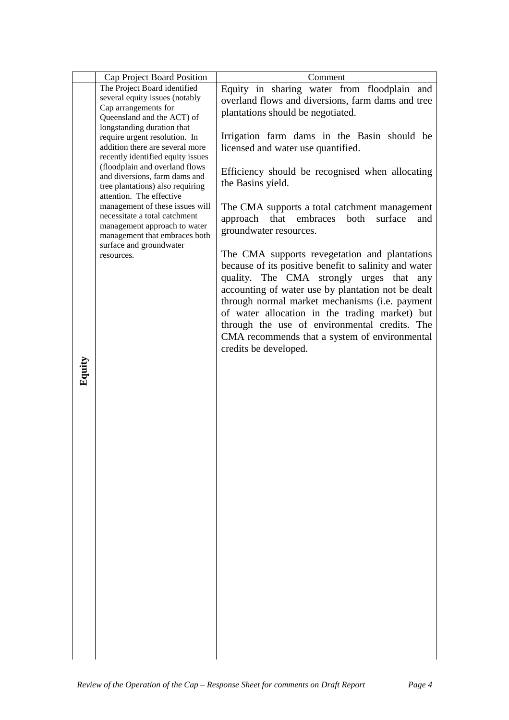|        | Cap Project Board Position                                    | Comment                                               |
|--------|---------------------------------------------------------------|-------------------------------------------------------|
|        | The Project Board identified                                  | Equity in sharing water from floodplain and           |
|        | several equity issues (notably                                | overland flows and diversions, farm dams and tree     |
|        | Cap arrangements for                                          | plantations should be negotiated.                     |
|        | Queensland and the ACT) of<br>longstanding duration that      |                                                       |
|        | require urgent resolution. In                                 | Irrigation farm dams in the Basin should be           |
|        | addition there are several more                               | licensed and water use quantified.                    |
|        | recently identified equity issues                             |                                                       |
|        | (floodplain and overland flows                                |                                                       |
|        | and diversions, farm dams and                                 | Efficiency should be recognised when allocating       |
|        | tree plantations) also requiring                              | the Basins yield.                                     |
|        | attention. The effective                                      |                                                       |
|        | management of these issues will                               | The CMA supports a total catchment management         |
|        | necessitate a total catchment<br>management approach to water | approach that embraces<br>both<br>surface<br>and      |
|        | management that embraces both                                 | groundwater resources.                                |
|        | surface and groundwater                                       |                                                       |
|        | resources.                                                    | The CMA supports revegetation and plantations         |
|        |                                                               | because of its positive benefit to salinity and water |
|        |                                                               | quality. The CMA strongly urges that<br>any           |
|        |                                                               | accounting of water use by plantation not be dealt    |
|        |                                                               | through normal market mechanisms (i.e. payment        |
|        |                                                               | of water allocation in the trading market) but        |
|        |                                                               | through the use of environmental credits. The         |
|        |                                                               | CMA recommends that a system of environmental         |
|        |                                                               | credits be developed.                                 |
|        |                                                               |                                                       |
| Equity |                                                               |                                                       |
|        |                                                               |                                                       |
|        |                                                               |                                                       |
|        |                                                               |                                                       |
|        |                                                               |                                                       |
|        |                                                               |                                                       |
|        |                                                               |                                                       |
|        |                                                               |                                                       |
|        |                                                               |                                                       |
|        |                                                               |                                                       |
|        |                                                               |                                                       |
|        |                                                               |                                                       |
|        |                                                               |                                                       |
|        |                                                               |                                                       |
|        |                                                               |                                                       |
|        |                                                               |                                                       |
|        |                                                               |                                                       |
|        |                                                               |                                                       |
|        |                                                               |                                                       |
|        |                                                               |                                                       |
|        |                                                               |                                                       |
|        |                                                               |                                                       |
|        |                                                               |                                                       |
|        |                                                               |                                                       |
|        |                                                               |                                                       |
|        |                                                               |                                                       |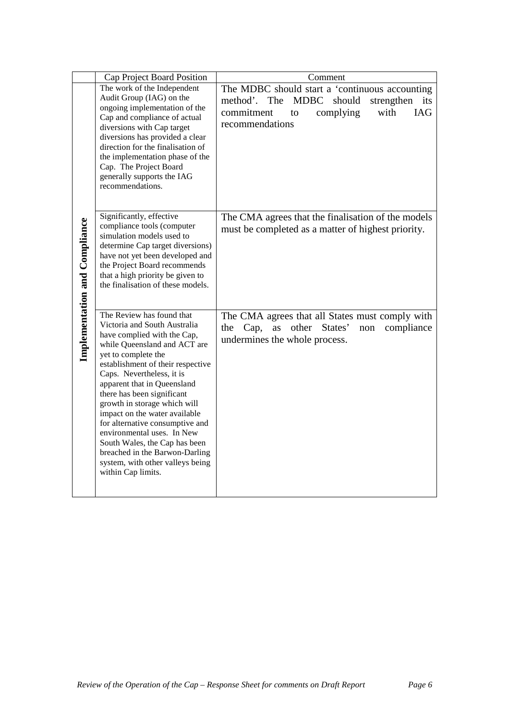|                                      | Cap Project Board Position                                                                                                                                                                                                                                                                                                                                                                                                                                                                                                                    | Comment                                                                                                                                                                  |
|--------------------------------------|-----------------------------------------------------------------------------------------------------------------------------------------------------------------------------------------------------------------------------------------------------------------------------------------------------------------------------------------------------------------------------------------------------------------------------------------------------------------------------------------------------------------------------------------------|--------------------------------------------------------------------------------------------------------------------------------------------------------------------------|
|                                      | The work of the Independent<br>Audit Group (IAG) on the<br>ongoing implementation of the<br>Cap and compliance of actual<br>diversions with Cap target<br>diversions has provided a clear<br>direction for the finalisation of<br>the implementation phase of the<br>Cap. The Project Board<br>generally supports the IAG<br>recommendations.                                                                                                                                                                                                 | The MDBC should start a 'continuous accounting<br>should<br>MDBC<br>strengthen<br>method'. The<br>its<br>commitment<br>with<br>IAG<br>complying<br>to<br>recommendations |
| <b>Implementation and Compliance</b> | Significantly, effective<br>compliance tools (computer<br>simulation models used to<br>determine Cap target diversions)<br>have not yet been developed and<br>the Project Board recommends<br>that a high priority be given to<br>the finalisation of these models.                                                                                                                                                                                                                                                                           | The CMA agrees that the finalisation of the models<br>must be completed as a matter of highest priority.                                                                 |
|                                      | The Review has found that<br>Victoria and South Australia<br>have complied with the Cap,<br>while Queensland and ACT are<br>yet to complete the<br>establishment of their respective<br>Caps. Nevertheless, it is<br>apparent that in Queensland<br>there has been significant<br>growth in storage which will<br>impact on the water available<br>for alternative consumptive and<br>environmental uses. In New<br>South Wales, the Cap has been<br>breached in the Barwon-Darling<br>system, with other valleys being<br>within Cap limits. | The CMA agrees that all States must comply with<br>other States'<br>the Cap,<br>as<br>compliance<br>non<br>undermines the whole process.                                 |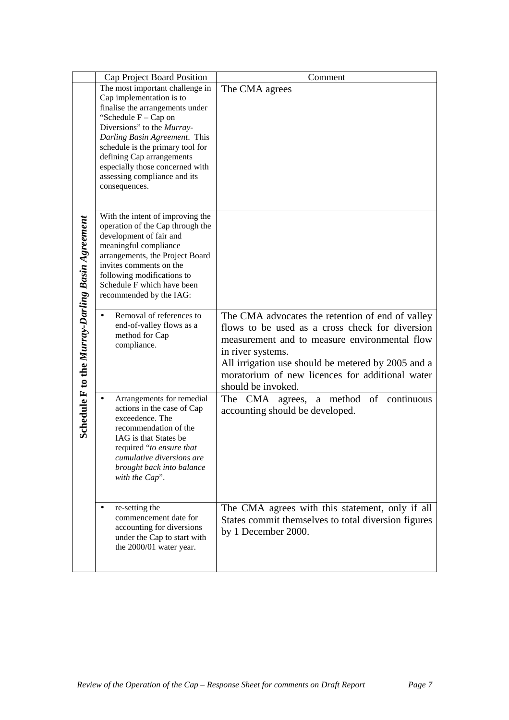|                                                  | Cap Project Board Position                                                                                                                                                                                                                                                                                                                   | Comment                                                                                                                                                                                                                                              |
|--------------------------------------------------|----------------------------------------------------------------------------------------------------------------------------------------------------------------------------------------------------------------------------------------------------------------------------------------------------------------------------------------------|------------------------------------------------------------------------------------------------------------------------------------------------------------------------------------------------------------------------------------------------------|
|                                                  | The most important challenge in<br>Cap implementation is to<br>finalise the arrangements under<br>"Schedule $F - Cap$ on<br>Diversions" to the Murray-<br>Darling Basin Agreement. This<br>schedule is the primary tool for<br>defining Cap arrangements<br>especially those concerned with<br>assessing compliance and its<br>consequences. | The CMA agrees                                                                                                                                                                                                                                       |
| Schedule F to the Murray-Darling Basin Agreement | With the intent of improving the<br>operation of the Cap through the<br>development of fair and<br>meaningful compliance<br>arrangements, the Project Board<br>invites comments on the<br>following modifications to<br>Schedule F which have been<br>recommended by the IAG:<br>Removal of references to<br>end-of-valley flows as a        | The CMA advocates the retention of end of valley                                                                                                                                                                                                     |
|                                                  | method for Cap<br>compliance.                                                                                                                                                                                                                                                                                                                | flows to be used as a cross check for diversion<br>measurement and to measure environmental flow<br>in river systems.<br>All irrigation use should be metered by 2005 and a<br>moratorium of new licences for additional water<br>should be invoked. |
|                                                  | Arrangements for remedial<br>$\bullet$<br>actions in the case of Cap<br>exceedence. The<br>recommendation of the<br>IAG is that States be<br>required "to ensure that<br>cumulative diversions are<br>brought back into balance<br>with the Cap".                                                                                            | method<br>of<br>continuous<br>The<br><b>CMA</b><br>agrees,<br>a<br>accounting should be developed.                                                                                                                                                   |
|                                                  | re-setting the<br>$\bullet$<br>commencement date for<br>accounting for diversions<br>under the Cap to start with<br>the 2000/01 water year.                                                                                                                                                                                                  | The CMA agrees with this statement, only if all<br>States commit themselves to total diversion figures<br>by 1 December 2000.                                                                                                                        |